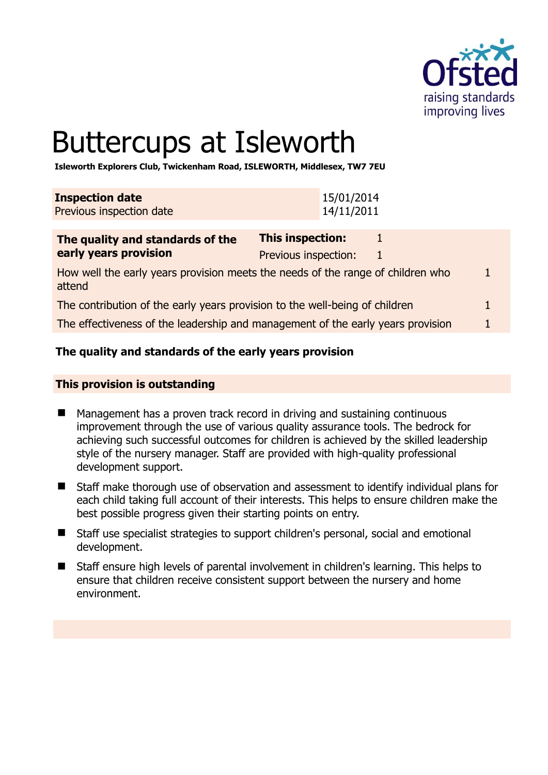

# Buttercups at Isleworth

**Isleworth Explorers Club, Twickenham Road, ISLEWORTH, Middlesex, TW7 7EU** 

| <b>Inspection date</b><br>Previous inspection date |  |  |  |  |  | 15/01/2014<br>14/11/2011 |  |  |
|----------------------------------------------------|--|--|--|--|--|--------------------------|--|--|
|                                                    |  |  |  |  |  |                          |  |  |
|                                                    |  |  |  |  |  |                          |  |  |

| The quality and standards of the                                                          | <b>This inspection:</b> |  |
|-------------------------------------------------------------------------------------------|-------------------------|--|
| early years provision                                                                     | Previous inspection:    |  |
| How well the early years provision meets the needs of the range of children who<br>attend |                         |  |
| The contribution of the early years provision to the well-being of children               |                         |  |
| The effectiveness of the leadership and management of the early years provision           |                         |  |

# **The quality and standards of the early years provision**

## **This provision is outstanding**

- Management has a proven track record in driving and sustaining continuous improvement through the use of various quality assurance tools. The bedrock for achieving such successful outcomes for children is achieved by the skilled leadership style of the nursery manager. Staff are provided with high-quality professional development support.
- Staff make thorough use of observation and assessment to identify individual plans for each child taking full account of their interests. This helps to ensure children make the best possible progress given their starting points on entry.
- Staff use specialist strategies to support children's personal, social and emotional development.
- Staff ensure high levels of parental involvement in children's learning. This helps to ensure that children receive consistent support between the nursery and home environment.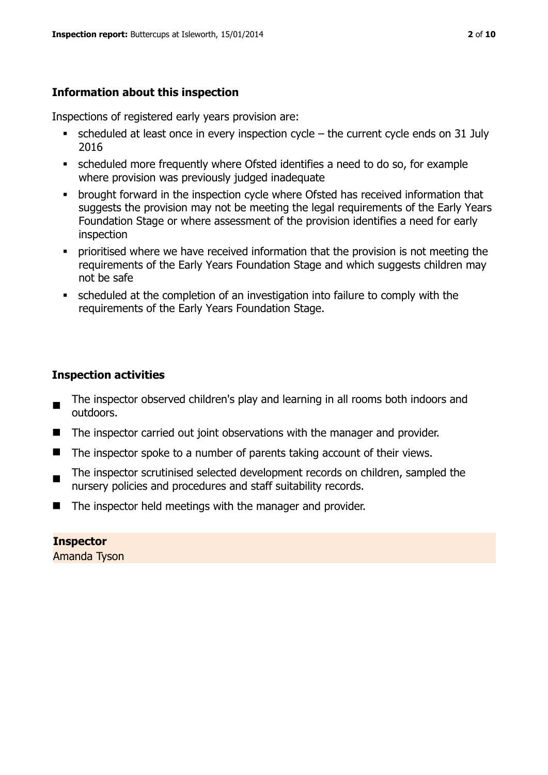# **Information about this inspection**

Inspections of registered early years provision are:

- $\blacksquare$  scheduled at least once in every inspection cycle the current cycle ends on 31 July 2016
- scheduled more frequently where Ofsted identifies a need to do so, for example where provision was previously judged inadequate
- **•** brought forward in the inspection cycle where Ofsted has received information that suggests the provision may not be meeting the legal requirements of the Early Years Foundation Stage or where assessment of the provision identifies a need for early inspection
- **•** prioritised where we have received information that the provision is not meeting the requirements of the Early Years Foundation Stage and which suggests children may not be safe
- scheduled at the completion of an investigation into failure to comply with the requirements of the Early Years Foundation Stage.

# **Inspection activities**

- The inspector observed children's play and learning in all rooms both indoors and outdoors.
- The inspector carried out joint observations with the manager and provider.
- $\blacksquare$  The inspector spoke to a number of parents taking account of their views.
- $\blacksquare$ The inspector scrutinised selected development records on children, sampled the nursery policies and procedures and staff suitability records.
- $\blacksquare$  The inspector held meetings with the manager and provider.

**Inspector**  Amanda Tyson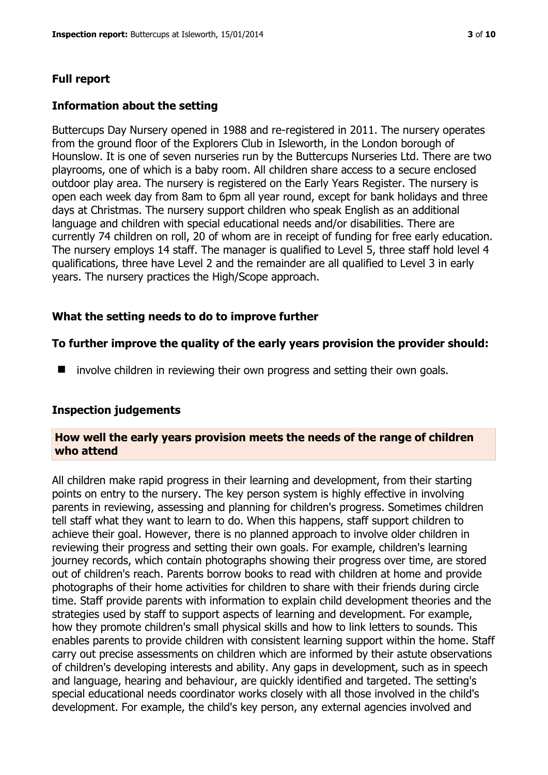#### **Full report**

#### **Information about the setting**

Buttercups Day Nursery opened in 1988 and re-registered in 2011. The nursery operates from the ground floor of the Explorers Club in Isleworth, in the London borough of Hounslow. It is one of seven nurseries run by the Buttercups Nurseries Ltd. There are two playrooms, one of which is a baby room. All children share access to a secure enclosed outdoor play area. The nursery is registered on the Early Years Register. The nursery is open each week day from 8am to 6pm all year round, except for bank holidays and three days at Christmas. The nursery support children who speak English as an additional language and children with special educational needs and/or disabilities. There are currently 74 children on roll, 20 of whom are in receipt of funding for free early education. The nursery employs 14 staff. The manager is qualified to Level 5, three staff hold level 4 qualifications, three have Level 2 and the remainder are all qualified to Level 3 in early years. The nursery practices the High/Scope approach.

#### **What the setting needs to do to improve further**

#### **To further improve the quality of the early years provision the provider should:**

■ involve children in reviewing their own progress and setting their own goals.

#### **Inspection judgements**

#### **How well the early years provision meets the needs of the range of children who attend**

All children make rapid progress in their learning and development, from their starting points on entry to the nursery. The key person system is highly effective in involving parents in reviewing, assessing and planning for children's progress. Sometimes children tell staff what they want to learn to do. When this happens, staff support children to achieve their goal. However, there is no planned approach to involve older children in reviewing their progress and setting their own goals. For example, children's learning journey records, which contain photographs showing their progress over time, are stored out of children's reach. Parents borrow books to read with children at home and provide photographs of their home activities for children to share with their friends during circle time. Staff provide parents with information to explain child development theories and the strategies used by staff to support aspects of learning and development. For example, how they promote children's small physical skills and how to link letters to sounds. This enables parents to provide children with consistent learning support within the home. Staff carry out precise assessments on children which are informed by their astute observations of children's developing interests and ability. Any gaps in development, such as in speech and language, hearing and behaviour, are quickly identified and targeted. The setting's special educational needs coordinator works closely with all those involved in the child's development. For example, the child's key person, any external agencies involved and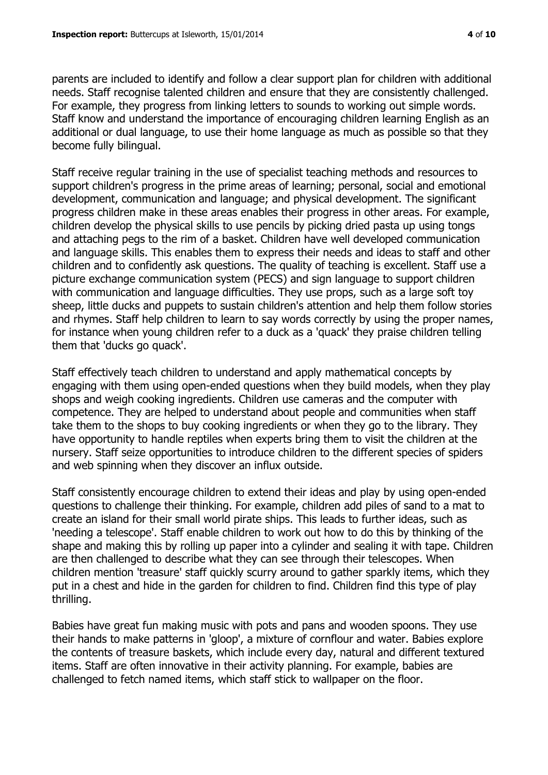parents are included to identify and follow a clear support plan for children with additional needs. Staff recognise talented children and ensure that they are consistently challenged. For example, they progress from linking letters to sounds to working out simple words. Staff know and understand the importance of encouraging children learning English as an additional or dual language, to use their home language as much as possible so that they become fully bilingual.

Staff receive regular training in the use of specialist teaching methods and resources to support children's progress in the prime areas of learning; personal, social and emotional development, communication and language; and physical development. The significant progress children make in these areas enables their progress in other areas. For example, children develop the physical skills to use pencils by picking dried pasta up using tongs and attaching pegs to the rim of a basket. Children have well developed communication and language skills. This enables them to express their needs and ideas to staff and other children and to confidently ask questions. The quality of teaching is excellent. Staff use a picture exchange communication system (PECS) and sign language to support children with communication and language difficulties. They use props, such as a large soft toy sheep, little ducks and puppets to sustain children's attention and help them follow stories and rhymes. Staff help children to learn to say words correctly by using the proper names, for instance when young children refer to a duck as a 'quack' they praise children telling them that 'ducks go quack'.

Staff effectively teach children to understand and apply mathematical concepts by engaging with them using open-ended questions when they build models, when they play shops and weigh cooking ingredients. Children use cameras and the computer with competence. They are helped to understand about people and communities when staff take them to the shops to buy cooking ingredients or when they go to the library. They have opportunity to handle reptiles when experts bring them to visit the children at the nursery. Staff seize opportunities to introduce children to the different species of spiders and web spinning when they discover an influx outside.

Staff consistently encourage children to extend their ideas and play by using open-ended questions to challenge their thinking. For example, children add piles of sand to a mat to create an island for their small world pirate ships. This leads to further ideas, such as 'needing a telescope'. Staff enable children to work out how to do this by thinking of the shape and making this by rolling up paper into a cylinder and sealing it with tape. Children are then challenged to describe what they can see through their telescopes. When children mention 'treasure' staff quickly scurry around to gather sparkly items, which they put in a chest and hide in the garden for children to find. Children find this type of play thrilling.

Babies have great fun making music with pots and pans and wooden spoons. They use their hands to make patterns in 'gloop', a mixture of cornflour and water. Babies explore the contents of treasure baskets, which include every day, natural and different textured items. Staff are often innovative in their activity planning. For example, babies are challenged to fetch named items, which staff stick to wallpaper on the floor.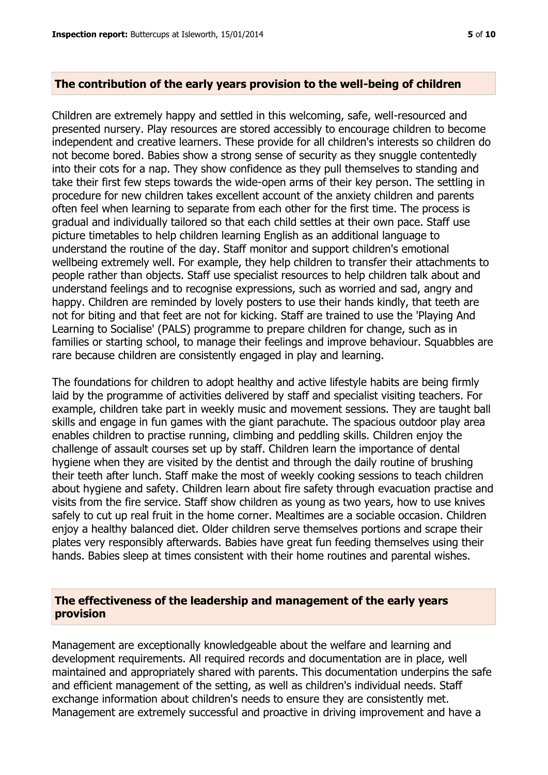#### **The contribution of the early years provision to the well-being of children**

Children are extremely happy and settled in this welcoming, safe, well-resourced and presented nursery. Play resources are stored accessibly to encourage children to become independent and creative learners. These provide for all children's interests so children do not become bored. Babies show a strong sense of security as they snuggle contentedly into their cots for a nap. They show confidence as they pull themselves to standing and take their first few steps towards the wide-open arms of their key person. The settling in procedure for new children takes excellent account of the anxiety children and parents often feel when learning to separate from each other for the first time. The process is gradual and individually tailored so that each child settles at their own pace. Staff use picture timetables to help children learning English as an additional language to understand the routine of the day. Staff monitor and support children's emotional wellbeing extremely well. For example, they help children to transfer their attachments to people rather than objects. Staff use specialist resources to help children talk about and understand feelings and to recognise expressions, such as worried and sad, angry and happy. Children are reminded by lovely posters to use their hands kindly, that teeth are not for biting and that feet are not for kicking. Staff are trained to use the 'Playing And Learning to Socialise' (PALS) programme to prepare children for change, such as in families or starting school, to manage their feelings and improve behaviour. Squabbles are rare because children are consistently engaged in play and learning.

The foundations for children to adopt healthy and active lifestyle habits are being firmly laid by the programme of activities delivered by staff and specialist visiting teachers. For example, children take part in weekly music and movement sessions. They are taught ball skills and engage in fun games with the giant parachute. The spacious outdoor play area enables children to practise running, climbing and peddling skills. Children enjoy the challenge of assault courses set up by staff. Children learn the importance of dental hygiene when they are visited by the dentist and through the daily routine of brushing their teeth after lunch. Staff make the most of weekly cooking sessions to teach children about hygiene and safety. Children learn about fire safety through evacuation practise and visits from the fire service. Staff show children as young as two years, how to use knives safely to cut up real fruit in the home corner. Mealtimes are a sociable occasion. Children enjoy a healthy balanced diet. Older children serve themselves portions and scrape their plates very responsibly afterwards. Babies have great fun feeding themselves using their hands. Babies sleep at times consistent with their home routines and parental wishes.

## **The effectiveness of the leadership and management of the early years provision**

Management are exceptionally knowledgeable about the welfare and learning and development requirements. All required records and documentation are in place, well maintained and appropriately shared with parents. This documentation underpins the safe and efficient management of the setting, as well as children's individual needs. Staff exchange information about children's needs to ensure they are consistently met. Management are extremely successful and proactive in driving improvement and have a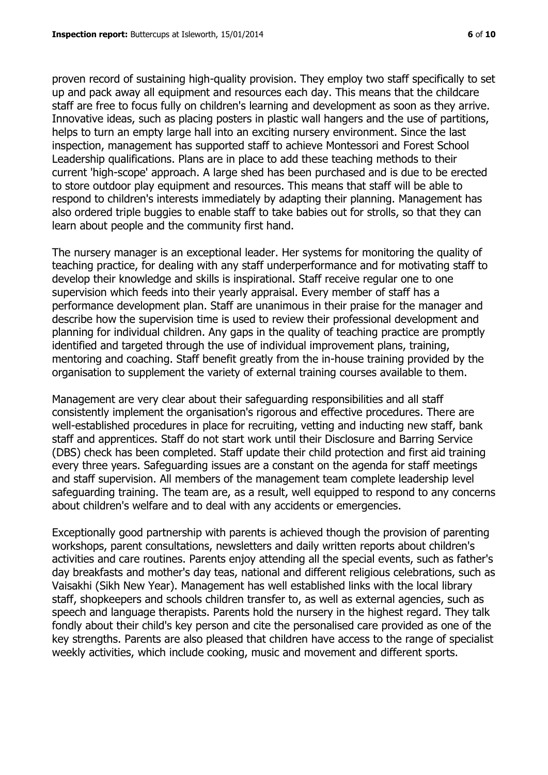proven record of sustaining high-quality provision. They employ two staff specifically to set up and pack away all equipment and resources each day. This means that the childcare staff are free to focus fully on children's learning and development as soon as they arrive. Innovative ideas, such as placing posters in plastic wall hangers and the use of partitions, helps to turn an empty large hall into an exciting nursery environment. Since the last inspection, management has supported staff to achieve Montessori and Forest School Leadership qualifications. Plans are in place to add these teaching methods to their current 'high-scope' approach. A large shed has been purchased and is due to be erected to store outdoor play equipment and resources. This means that staff will be able to respond to children's interests immediately by adapting their planning. Management has also ordered triple buggies to enable staff to take babies out for strolls, so that they can learn about people and the community first hand.

The nursery manager is an exceptional leader. Her systems for monitoring the quality of teaching practice, for dealing with any staff underperformance and for motivating staff to develop their knowledge and skills is inspirational. Staff receive regular one to one supervision which feeds into their yearly appraisal. Every member of staff has a performance development plan. Staff are unanimous in their praise for the manager and describe how the supervision time is used to review their professional development and planning for individual children. Any gaps in the quality of teaching practice are promptly identified and targeted through the use of individual improvement plans, training, mentoring and coaching. Staff benefit greatly from the in-house training provided by the organisation to supplement the variety of external training courses available to them.

Management are very clear about their safeguarding responsibilities and all staff consistently implement the organisation's rigorous and effective procedures. There are well-established procedures in place for recruiting, vetting and inducting new staff, bank staff and apprentices. Staff do not start work until their Disclosure and Barring Service (DBS) check has been completed. Staff update their child protection and first aid training every three years. Safeguarding issues are a constant on the agenda for staff meetings and staff supervision. All members of the management team complete leadership level safeguarding training. The team are, as a result, well equipped to respond to any concerns about children's welfare and to deal with any accidents or emergencies.

Exceptionally good partnership with parents is achieved though the provision of parenting workshops, parent consultations, newsletters and daily written reports about children's activities and care routines. Parents enjoy attending all the special events, such as father's day breakfasts and mother's day teas, national and different religious celebrations, such as Vaisakhi (Sikh New Year). Management has well established links with the local library staff, shopkeepers and schools children transfer to, as well as external agencies, such as speech and language therapists. Parents hold the nursery in the highest regard. They talk fondly about their child's key person and cite the personalised care provided as one of the key strengths. Parents are also pleased that children have access to the range of specialist weekly activities, which include cooking, music and movement and different sports.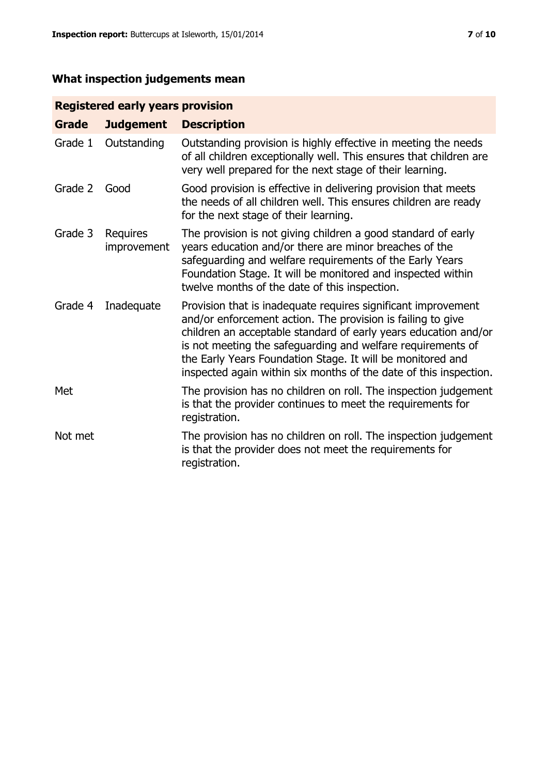# **What inspection judgements mean**

# **Registered early years provision**

| <b>Grade</b> | <b>Judgement</b>               | <b>Description</b>                                                                                                                                                                                                                                                                                                                                                                                |
|--------------|--------------------------------|---------------------------------------------------------------------------------------------------------------------------------------------------------------------------------------------------------------------------------------------------------------------------------------------------------------------------------------------------------------------------------------------------|
| Grade 1      | Outstanding                    | Outstanding provision is highly effective in meeting the needs<br>of all children exceptionally well. This ensures that children are<br>very well prepared for the next stage of their learning.                                                                                                                                                                                                  |
| Grade 2      | Good                           | Good provision is effective in delivering provision that meets<br>the needs of all children well. This ensures children are ready<br>for the next stage of their learning.                                                                                                                                                                                                                        |
| Grade 3      | <b>Requires</b><br>improvement | The provision is not giving children a good standard of early<br>years education and/or there are minor breaches of the<br>safeguarding and welfare requirements of the Early Years<br>Foundation Stage. It will be monitored and inspected within<br>twelve months of the date of this inspection.                                                                                               |
| Grade 4      | Inadequate                     | Provision that is inadequate requires significant improvement<br>and/or enforcement action. The provision is failing to give<br>children an acceptable standard of early years education and/or<br>is not meeting the safeguarding and welfare requirements of<br>the Early Years Foundation Stage. It will be monitored and<br>inspected again within six months of the date of this inspection. |
| Met          |                                | The provision has no children on roll. The inspection judgement<br>is that the provider continues to meet the requirements for<br>registration.                                                                                                                                                                                                                                                   |
| Not met      |                                | The provision has no children on roll. The inspection judgement<br>is that the provider does not meet the requirements for<br>registration.                                                                                                                                                                                                                                                       |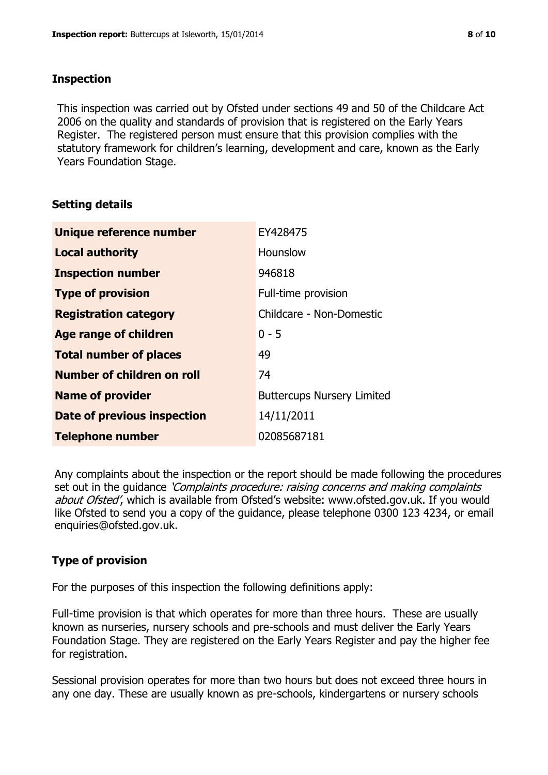# **Inspection**

This inspection was carried out by Ofsted under sections 49 and 50 of the Childcare Act 2006 on the quality and standards of provision that is registered on the Early Years Register. The registered person must ensure that this provision complies with the statutory framework for children's learning, development and care, known as the Early Years Foundation Stage.

# **Setting details**

| Unique reference number       | EY428475                          |
|-------------------------------|-----------------------------------|
| <b>Local authority</b>        | Hounslow                          |
| <b>Inspection number</b>      | 946818                            |
| <b>Type of provision</b>      | Full-time provision               |
| <b>Registration category</b>  | Childcare - Non-Domestic          |
| Age range of children         | $0 - 5$                           |
| <b>Total number of places</b> | 49                                |
| Number of children on roll    | 74                                |
| <b>Name of provider</b>       | <b>Buttercups Nursery Limited</b> |
| Date of previous inspection   | 14/11/2011                        |
| <b>Telephone number</b>       | 02085687181                       |

Any complaints about the inspection or the report should be made following the procedures set out in the guidance *'Complaints procedure: raising concerns and making complaints* about Ofsted', which is available from Ofsted's website: www.ofsted.gov.uk. If you would like Ofsted to send you a copy of the guidance, please telephone 0300 123 4234, or email enquiries@ofsted.gov.uk.

# **Type of provision**

For the purposes of this inspection the following definitions apply:

Full-time provision is that which operates for more than three hours. These are usually known as nurseries, nursery schools and pre-schools and must deliver the Early Years Foundation Stage. They are registered on the Early Years Register and pay the higher fee for registration.

Sessional provision operates for more than two hours but does not exceed three hours in any one day. These are usually known as pre-schools, kindergartens or nursery schools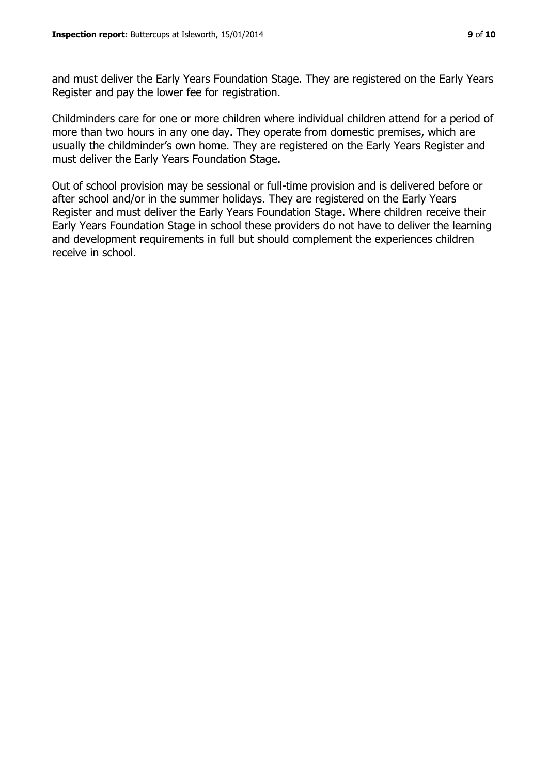and must deliver the Early Years Foundation Stage. They are registered on the Early Years Register and pay the lower fee for registration.

Childminders care for one or more children where individual children attend for a period of more than two hours in any one day. They operate from domestic premises, which are usually the childminder's own home. They are registered on the Early Years Register and must deliver the Early Years Foundation Stage.

Out of school provision may be sessional or full-time provision and is delivered before or after school and/or in the summer holidays. They are registered on the Early Years Register and must deliver the Early Years Foundation Stage. Where children receive their Early Years Foundation Stage in school these providers do not have to deliver the learning and development requirements in full but should complement the experiences children receive in school.